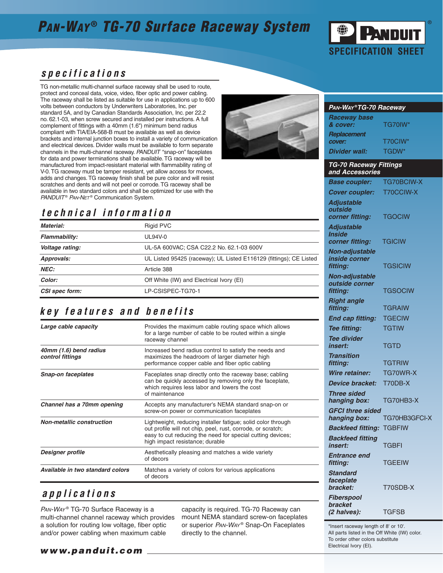## **PAN-WAY® TG-70 Surface Raceway System**



### **specifications**

TG non-metallic multi-channel surface raceway shall be used to route, protect and conceal data, voice, video, fiber optic and power cabling. The raceway shall be listed as suitable for use in applications up to 600 volts between conductors by Underwriters Laboratories, Inc. per standard 5A, and by Canadian Standards Association, Inc. per 22.2 no. 62.1-03, when screw secured and installed per instructions. A full complement of fittings with a 40mm (1.6") minimum bend radius compliant with TIA/EIA-568-B must be available as well as device brackets and internal junction boxes to install a variety of communication and electrical devices. Divider walls must be available to form separate channels in the multi-channel raceway. PANDUIT "snap-on" faceplates for data and power terminations shall be available. TG raceway will be manufactured from impact-resistant material with flammability rating of V-0. TG raceway must be tamper resistant, yet allow access for moves, adds and changes. TG raceway finish shall be pure color and will resist scratches and dents and will not peel or corrode. TG raceway shall be available in two standard colors and shall be optimized for use with the PANDUIT® PAN-NET® Communication System.

### **technical information**

| Material:            | <b>Rigid PVC</b>                                                   |
|----------------------|--------------------------------------------------------------------|
| <b>Flammability:</b> | UL94V-0                                                            |
| Voltage rating:      | UL-5A 600VAC; CSA C22.2 No. 62.1-03 600V                           |
| Approvals:           | UL Listed 95425 (raceway); UL Listed E116129 (fittings); CE Listed |
| <b>NEC:</b>          | Article 388                                                        |
| Color:               | Off White (IW) and Electrical Ivory (EI)                           |
| CSI spec form:       | LP-CSISPEC-TG70-1                                                  |

### **key features and benefits**

| Large cable capacity                       | Provides the maximum cable routing space which allows<br>for a large number of cable to be routed within a single<br>raceway channel                                                                                         |
|--------------------------------------------|------------------------------------------------------------------------------------------------------------------------------------------------------------------------------------------------------------------------------|
| 40mm (1.6) bend radius<br>control fittings | Increased bend radius control to satisfy the needs and<br>maximizes the headroom of larger diameter high<br>performance copper cable and fiber optic cabling                                                                 |
| <b>Snap-on faceplates</b>                  | Faceplates snap directly onto the raceway base; cabling<br>can be quickly accessed by removing only the faceplate,<br>which requires less labor and lowers the cost<br>of maintenance                                        |
| Channel has a 70mm opening                 | Accepts any manufacturer's NEMA standard snap-on or<br>screw-on power or communication faceplates                                                                                                                            |
| <b>Non-metallic construction</b>           | Lightweight, reducing installer fatigue; solid color through<br>out profile will not chip, peel, rust, corrode, or scratch;<br>easy to cut reducing the need for special cutting devices;<br>high impact resistance; durable |
| Designer profile                           | Aesthetically pleasing and matches a wide variety<br>of decors                                                                                                                                                               |
| Available in two standard colors           | Matches a variety of colors for various applications<br>of decors                                                                                                                                                            |

### **applications**

PAN-WAY® TG-70 Surface Raceway is a multi-channel channel raceway which provides a solution for routing low voltage, fiber optic and/or power cabling when maximum cable

capacity is required. TG-70 Raceway can mount NEMA standard screw-on faceplates or superior PAN-WAY<sup>®</sup> Snap-On Faceplates directly to the channel.

#### **PAN-WAY ®TG-70 Raceway**

| <b>Raceway base</b>  |                |
|----------------------|----------------|
| & cover:             | <b>TG70IW*</b> |
| <b>Replacement</b>   |                |
| cover:               | T70CIW*        |
| <b>Divider wall:</b> | TGDW*          |

#### **TG-70 Raceway Fittings and Accessories Base coupler:** TG70BCIW-X **Cover coupler:** T70CCIW-X **Adjustable outside corner fitting:** TGOCIW **Adjustable Inside corner fitting:** TGICIW **Non-adjustable inside corner fitting:** TGSICIW **Non-adjustable outside corner fitting:** TGSOCIW **Right angle fitting:** TGRAIW **End cap fitting:** TGECIW **Tee fitting:** TGTIW **Tee divider insert:** TGTD **Transition fitting:** TGTRIW **Wire retainer:** TG70WR-X **Device bracket:** T70DB-X **Three sided hanging box:** TG70HB3-X **GFCI three sided hanging box:** TG70HB3GFCI-X **Backfeed fitting:** TGBFIW **Backfeed fitting insert:** TGBFI **Entrance end fitting:** TGEEIW **Standard faceplate bracket:** T70SDB-X **Fiberspool bracket (2 halves):** TGFSB

\*Insert raceway length of 8' or 10'. All parts listed in the Off White (IW) color. To order other colors substitute Electrical Ivory (EI).

#### **www.panduit.com**